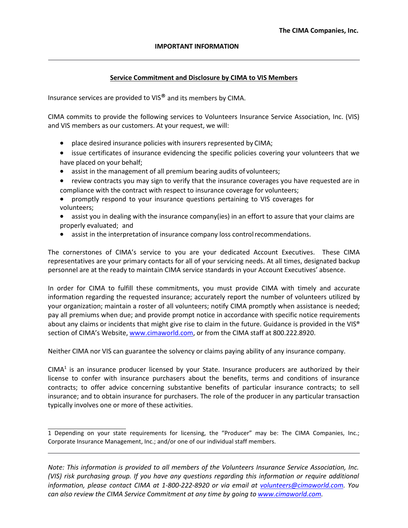## **Service Commitment and Disclosure by CIMA to VIS Members**

Insurance services are provided to VIS® and its members by CIMA.

CIMA commits to provide the following services to Volunteers Insurance Service Association, Inc. (VIS) and VIS members as our customers. At your request, we will:

- place desired insurance policies with insurers represented by CIMA;
- issue certificates of insurance evidencing the specific policies covering your volunteers that we have placed on your behalf;
- assist in the management of all premium bearing audits of volunteers;
- review contracts you may sign to verify that the insurance coverages you have requested are in compliance with the contract with respect to insurance coverage for volunteers;
- promptly respond to your insurance questions pertaining to VIS coverages for volunteers;
- assist you in dealing with the insurance company(ies) in an effort to assure that your claims are properly evaluated; and
- assist in the interpretation of insurance company loss control recommendations.

The cornerstones of CIMA's service to you are your dedicated Account Executives. These CIMA representatives are your primary contacts for all of your servicing needs. At all times, designated backup personnel are at the ready to maintain CIMA service standards in your Account Executives' absence.

In order for CIMA to fulfill these commitments, you must provide CIMA with timely and accurate information regarding the requested insurance; accurately report the number of volunteers utilized by your organization; maintain a roster of all volunteers; notify CIMA promptly when assistance is needed; pay all premiums when due; and provide prompt notice in accordance with specific notice requirements about any claims or incidents that might give rise to claim in the future. Guidance is provided in the VIS® section of CIMA's Website[, www.cimaworld.com,](http://www.cimaworld.com/) or from the CIMA staff at 800.222.8920.

Neither CIMA nor VIS can guarantee the solvency or claims paying ability of any insurance company.

 $CIMA<sup>1</sup>$  is an insurance producer licensed by your State. Insurance producers are authorized by their license to confer with insurance purchasers about the benefits, terms and conditions of insurance contracts; to offer advice concerning substantive benefits of particular insurance contracts; to sell insurance; and to obtain insurance for purchasers. The role of the producer in any particular transaction typically involves one or more of these activities.

*Note: This information is provided to all members of the Volunteers Insurance Service Association, Inc. (VIS) risk purchasing group. If you have any questions regarding this information or require additional information, please contact CIMA at 1-800-222-8920 or via email at [volunteers@cimaworld.com.](mailto:volunteers@cimaworld.com) You can also review the CIMA Service Commitment at any time by going to [www.cimaworld.com.](http://www.cimaworld.com/)*

<span id="page-0-0"></span><sup>1</sup> Depending on your state requirements for licensing, the "Producer" may be: The CIMA Companies, Inc.; Corporate Insurance Management, Inc.; and/or one of our individual staff members.